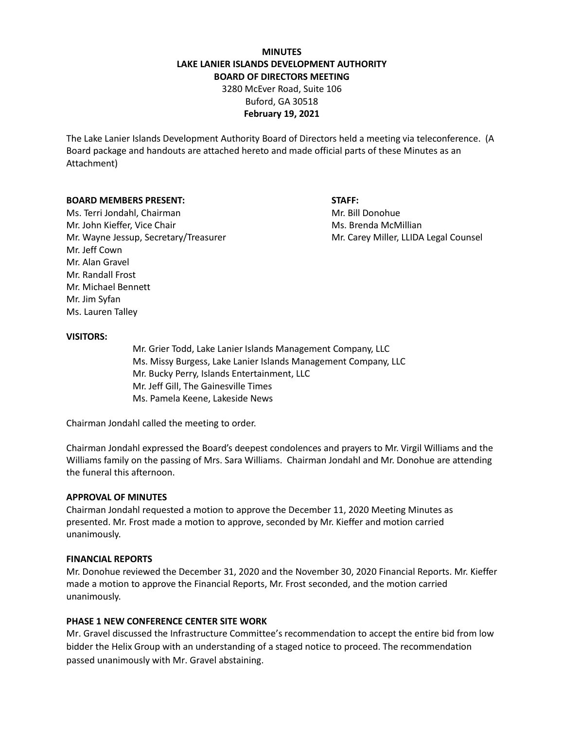# **MINUTES LAKE LANIER ISLANDS DEVELOPMENT AUTHORITY BOARD OF DIRECTORS MEETING**

3280 McEver Road, Suite 106 Buford, GA 30518 **February 19, 2021**

The Lake Lanier Islands Development Authority Board of Directors held a meeting via teleconference. (A Board package and handouts are attached hereto and made official parts of these Minutes as an Attachment)

## **BOARD MEMBERS PRESENT: STAFF:**

Ms. Terri Jondahl, Chairman Mr. Bill Donohue Mr. John Kieffer, Vice Chair Mus. Brenda McMillian Mr. Wayne Jessup, Secretary/Treasurer Music Carey Miller, LLIDA Legal Counsel Mr. Jeff Cown Mr. Alan Gravel Mr. Randall Frost Mr. Michael Bennett Mr. Jim Syfan Ms. Lauren Talley

#### **VISITORS:**

Mr. Grier Todd, Lake Lanier Islands Management Company, LLC Ms. Missy Burgess, Lake Lanier Islands Management Company, LLC Mr. Bucky Perry, Islands Entertainment, LLC Mr. Jeff Gill, The Gainesville Times Ms. Pamela Keene, Lakeside News

Chairman Jondahl called the meeting to order.

Chairman Jondahl expressed the Board's deepest condolences and prayers to Mr. Virgil Williams and the Williams family on the passing of Mrs. Sara Williams. Chairman Jondahl and Mr. Donohue are attending the funeral this afternoon.

#### **APPROVAL OF MINUTES**

Chairman Jondahl requested a motion to approve the December 11, 2020 Meeting Minutes as presented. Mr. Frost made a motion to approve, seconded by Mr. Kieffer and motion carried unanimously.

#### **FINANCIAL REPORTS**

Mr. Donohue reviewed the December 31, 2020 and the November 30, 2020 Financial Reports. Mr. Kieffer made a motion to approve the Financial Reports, Mr. Frost seconded, and the motion carried unanimously.

## **PHASE 1 NEW CONFERENCE CENTER SITE WORK**

Mr. Gravel discussed the Infrastructure Committee's recommendation to accept the entire bid from low bidder the Helix Group with an understanding of a staged notice to proceed. The recommendation passed unanimously with Mr. Gravel abstaining.